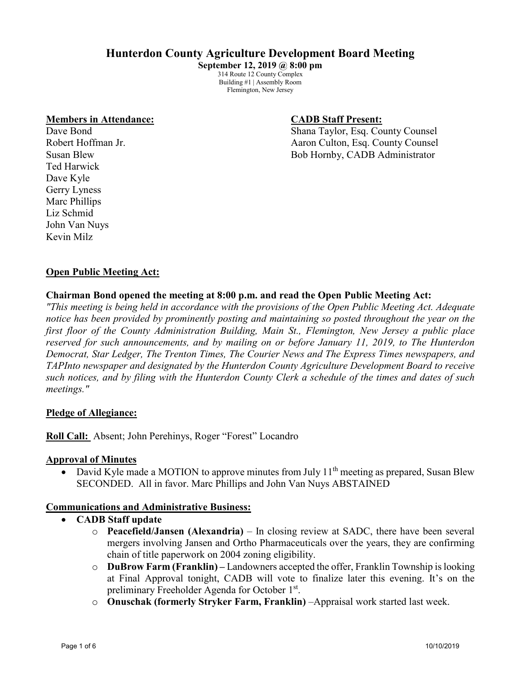# **Hunterdon County Agriculture Development Board Meeting**

**September 12, 2019 @ 8:00 pm**  314 Route 12 County Complex Building #1 | Assembly Room Flemington, New Jersey

#### **Members in Attendance: CADB Staff Present:**

Dave Bond Shana Taylor, Esq. County Counsel Robert Hoffman Jr. (a) a real county Counsel and Aaron Culton, Esq. County Counsel Susan Blew Bob Hornby, CADB Administrator

Ted Harwick Dave Kyle Gerry Lyness Marc Phillips Liz Schmid John Van Nuys Kevin Milz

## **Open Public Meeting Act:**

#### **Chairman Bond opened the meeting at 8:00 p.m. and read the Open Public Meeting Act:**

*"This meeting is being held in accordance with the provisions of the Open Public Meeting Act. Adequate notice has been provided by prominently posting and maintaining so posted throughout the year on the first floor of the County Administration Building, Main St., Flemington, New Jersey a public place reserved for such announcements, and by mailing on or before January 11, 2019, to The Hunterdon Democrat, Star Ledger, The Trenton Times, The Courier News and The Express Times newspapers, and TAPInto newspaper and designated by the Hunterdon County Agriculture Development Board to receive such notices, and by filing with the Hunterdon County Clerk a schedule of the times and dates of such meetings."* 

#### **Pledge of Allegiance:**

**Roll Call:** Absent; John Perehinys, Roger "Forest" Locandro

#### **Approval of Minutes**

• David Kyle made a MOTION to approve minutes from July  $11<sup>th</sup>$  meeting as prepared, Susan Blew SECONDED. All in favor. Marc Phillips and John Van Nuys ABSTAINED

### **Communications and Administrative Business:**

- **CADB Staff update**
	- o **Peacefield/Jansen (Alexandria)** In closing review at SADC, there have been several mergers involving Jansen and Ortho Pharmaceuticals over the years, they are confirming chain of title paperwork on 2004 zoning eligibility.
	- o **DuBrow Farm (Franklin)** Landowners accepted the offer, Franklin Township is looking at Final Approval tonight, CADB will vote to finalize later this evening. It's on the preliminary Freeholder Agenda for October 1st.
	- o **Onuschak (formerly Stryker Farm, Franklin)** –Appraisal work started last week.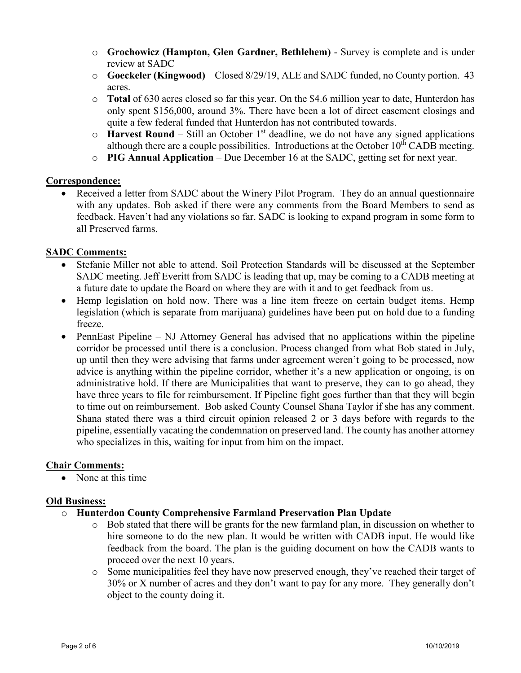- o **Grochowicz (Hampton, Glen Gardner, Bethlehem)** Survey is complete and is under review at SADC
- o **Goeckeler (Kingwood)** Closed 8/29/19, ALE and SADC funded, no County portion. 43 acres.
- o **Total** of 630 acres closed so far this year. On the \$4.6 million year to date, Hunterdon has only spent \$156,000, around 3%. There have been a lot of direct easement closings and quite a few federal funded that Hunterdon has not contributed towards.
- $\circ$  **Harvest Round** Still an October 1<sup>st</sup> deadline, we do not have any signed applications although there are a couple possibilities. Introductions at the October 10<sup>th</sup> CADB meeting.
- o **PIG Annual Application**  Due December 16 at the SADC, getting set for next year.

## **Correspondence:**

• Received a letter from SADC about the Winery Pilot Program. They do an annual questionnaire with any updates. Bob asked if there were any comments from the Board Members to send as feedback. Haven't had any violations so far. SADC is looking to expand program in some form to all Preserved farms.

## **SADC Comments:**

- Stefanie Miller not able to attend. Soil Protection Standards will be discussed at the September SADC meeting. Jeff Everitt from SADC is leading that up, may be coming to a CADB meeting at a future date to update the Board on where they are with it and to get feedback from us.
- Hemp legislation on hold now. There was a line item freeze on certain budget items. Hemp legislation (which is separate from marijuana) guidelines have been put on hold due to a funding freeze.
- PennEast Pipeline NJ Attorney General has advised that no applications within the pipeline corridor be processed until there is a conclusion. Process changed from what Bob stated in July, up until then they were advising that farms under agreement weren't going to be processed, now advice is anything within the pipeline corridor, whether it's a new application or ongoing, is on administrative hold. If there are Municipalities that want to preserve, they can to go ahead, they have three years to file for reimbursement. If Pipeline fight goes further than that they will begin to time out on reimbursement. Bob asked County Counsel Shana Taylor if she has any comment. Shana stated there was a third circuit opinion released 2 or 3 days before with regards to the pipeline, essentially vacating the condemnation on preserved land. The county has another attorney who specializes in this, waiting for input from him on the impact.

## **Chair Comments:**

• None at this time

## **Old Business:**

- o **Hunterdon County Comprehensive Farmland Preservation Plan Update**
	- o Bob stated that there will be grants for the new farmland plan, in discussion on whether to hire someone to do the new plan. It would be written with CADB input. He would like feedback from the board. The plan is the guiding document on how the CADB wants to proceed over the next 10 years.
	- o Some municipalities feel they have now preserved enough, they've reached their target of 30% or X number of acres and they don't want to pay for any more. They generally don't object to the county doing it.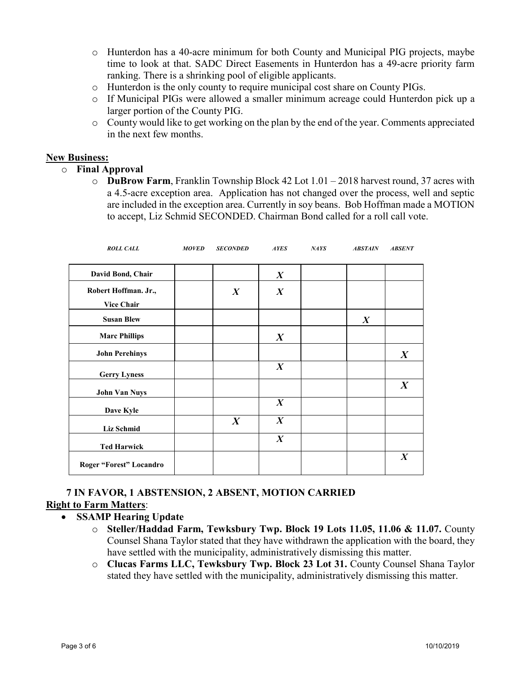- o Hunterdon has a 40-acre minimum for both County and Municipal PIG projects, maybe time to look at that. SADC Direct Easements in Hunterdon has a 49-acre priority farm ranking. There is a shrinking pool of eligible applicants.
- o Hunterdon is the only county to require municipal cost share on County PIGs.
- o If Municipal PIGs were allowed a smaller minimum acreage could Hunterdon pick up a larger portion of the County PIG.
- o County would like to get working on the plan by the end of the year. Comments appreciated in the next few months.

### **New Business:**

- o **Final Approval**
	- o **DuBrow Farm**, Franklin Township Block 42 Lot 1.01 2018 harvest round, 37 acres with a 4.5-acre exception area. Application has not changed over the process, well and septic are included in the exception area. Currently in soy beans. Bob Hoffman made a MOTION to accept, Liz Schmid SECONDED. Chairman Bond called for a roll call vote.

| <b>ROLL CALL</b>        | <b>MOVED</b> | <b>SECONDED</b>  | <b>AYES</b>      | NATS | <b>ABSTAIN</b>   | <b>ABSENT</b>    |
|-------------------------|--------------|------------------|------------------|------|------------------|------------------|
| David Bond, Chair       |              |                  | $\boldsymbol{X}$ |      |                  |                  |
| Robert Hoffman. Jr.,    |              | $\boldsymbol{X}$ | $\boldsymbol{X}$ |      |                  |                  |
| <b>Vice Chair</b>       |              |                  |                  |      |                  |                  |
| <b>Susan Blew</b>       |              |                  |                  |      | $\boldsymbol{X}$ |                  |
| <b>Marc Phillips</b>    |              |                  | $\boldsymbol{X}$ |      |                  |                  |
| <b>John Perehinys</b>   |              |                  |                  |      |                  | $\boldsymbol{X}$ |
| <b>Gerry Lyness</b>     |              |                  | $\boldsymbol{X}$ |      |                  |                  |
| <b>John Van Nuys</b>    |              |                  |                  |      |                  | $\boldsymbol{X}$ |
| Dave Kyle               |              |                  | $\boldsymbol{X}$ |      |                  |                  |
| <b>Liz Schmid</b>       |              | $\boldsymbol{X}$ | $\boldsymbol{X}$ |      |                  |                  |
| <b>Ted Harwick</b>      |              |                  | $\boldsymbol{X}$ |      |                  |                  |
| Roger "Forest" Locandro |              |                  |                  |      |                  | $\boldsymbol{X}$ |

## **7 IN FAVOR, 1 ABSTENSION, 2 ABSENT, MOTION CARRIED Right to Farm Matters**:

- **SSAMP Hearing Update**
	- o **Steller/Haddad Farm, Tewksbury Twp. Block 19 Lots 11.05, 11.06 & 11.07.** County Counsel Shana Taylor stated that they have withdrawn the application with the board, they have settled with the municipality, administratively dismissing this matter.
	- o **Clucas Farms LLC, Tewksbury Twp. Block 23 Lot 31.** County Counsel Shana Taylor stated they have settled with the municipality, administratively dismissing this matter.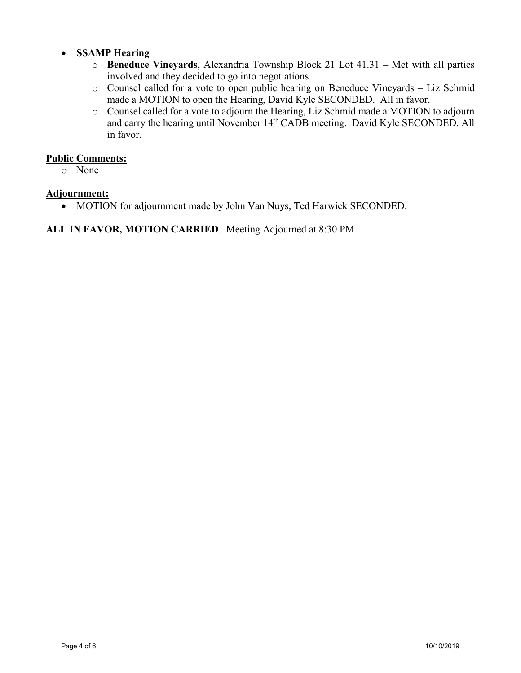## • **SSAMP Hearing**

- o **Beneduce Vineyards**, Alexandria Township Block 21 Lot 41.31 Met with all parties involved and they decided to go into negotiations.
- o Counsel called for a vote to open public hearing on Beneduce Vineyards Liz Schmid made a MOTION to open the Hearing, David Kyle SECONDED. All in favor.
- o Counsel called for a vote to adjourn the Hearing, Liz Schmid made a MOTION to adjourn and carry the hearing until November 14th CADB meeting. David Kyle SECONDED. All in favor.

## **Public Comments:**

o None

## **Adjournment:**

• MOTION for adjournment made by John Van Nuys, Ted Harwick SECONDED.

## **ALL IN FAVOR, MOTION CARRIED**. Meeting Adjourned at 8:30 PM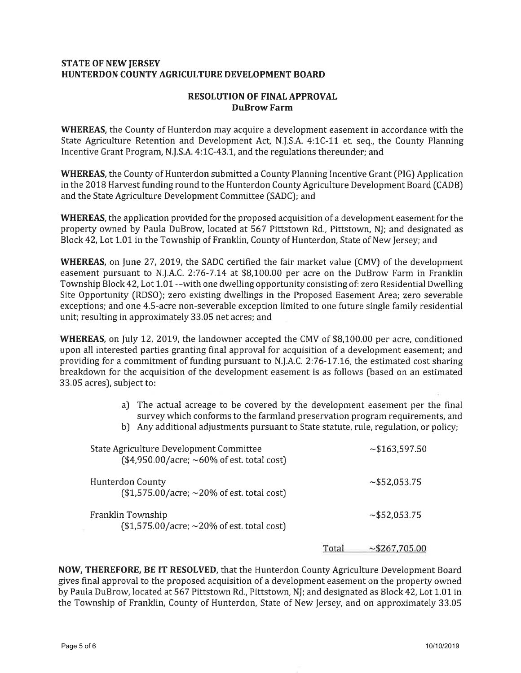#### **STATE OF NEW JERSEY** HUNTERDON COUNTY AGRICULTURE DEVELOPMENT BOARD

### **RESOLUTION OF FINAL APPROVAL DuBrow Farm**

**WHEREAS**, the County of Hunterdon may acquire a development easement in accordance with the State Agriculture Retention and Development Act, N.J.S.A. 4:1C-11 et. seq., the County Planning Incentive Grant Program, N.J.S.A. 4:1C-43.1, and the regulations thereunder; and

**WHEREAS**, the County of Hunterdon submitted a County Planning Incentive Grant (PIG) Application in the 2018 Harvest funding round to the Hunterdon County Agriculture Development Board (CADB) and the State Agriculture Development Committee (SADC); and

**WHEREAS**, the application provided for the proposed acquisition of a development easement for the property owned by Paula DuBrow, located at 567 Pittstown Rd., Pittstown, NJ; and designated as Block 42, Lot 1.01 in the Township of Franklin, County of Hunterdon, State of New Jersey; and

**WHEREAS**, on June 27, 2019, the SADC certified the fair market value (CMV) of the development easement pursuant to N.J.A.C. 2:76-7.14 at \$8,100.00 per acre on the DuBrow Farm in Franklin Township Block 42, Lot 1.01 --with one dwelling opportunity consisting of: zero Residential Dwelling Site Opportunity (RDSO); zero existing dwellings in the Proposed Easement Area; zero severable exceptions; and one 4.5-acre non-severable exception limited to one future single family residential unit; resulting in approximately 33.05 net acres; and

WHEREAS, on July 12, 2019, the landowner accepted the CMV of \$8,100.00 per acre, conditioned upon all interested parties granting final approval for acquisition of a development easement; and providing for a commitment of funding pursuant to N.J.A.C. 2:76-17.16, the estimated cost sharing breakdown for the acquisition of the development easement is as follows (based on an estimated 33.05 acres), subject to:

- a) The actual acreage to be covered by the development easement per the final survey which conforms to the farmland preservation program requirements, and
- b) Any additional adjustments pursuant to State statute, rule, regulation, or policy;

| State Agriculture Development Committee<br>$($4,950.00/acre; ~60% of est. total cost)$ |       | $\sim$ \$163,597.50 |
|----------------------------------------------------------------------------------------|-------|---------------------|
| <b>Hunterdon County</b><br>$($1,575.00/acre; \sim 20\%$ of est. total cost)            |       | $\sim$ \$52,053.75  |
| Franklin Township<br>$($1,575.00/acre; \sim 20\%$ of est. total cost)                  |       | $\sim$ \$52,053.75  |
|                                                                                        | Total | $\sim$ \$267,705.00 |

NOW, THEREFORE, BE IT RESOLVED, that the Hunterdon County Agriculture Development Board gives final approval to the proposed acquisition of a development easement on the property owned by Paula DuBrow, located at 567 Pittstown Rd., Pittstown, NJ; and designated as Block 42, Lot 1.01 in the Township of Franklin, County of Hunterdon, State of New Jersey, and on approximately 33.05